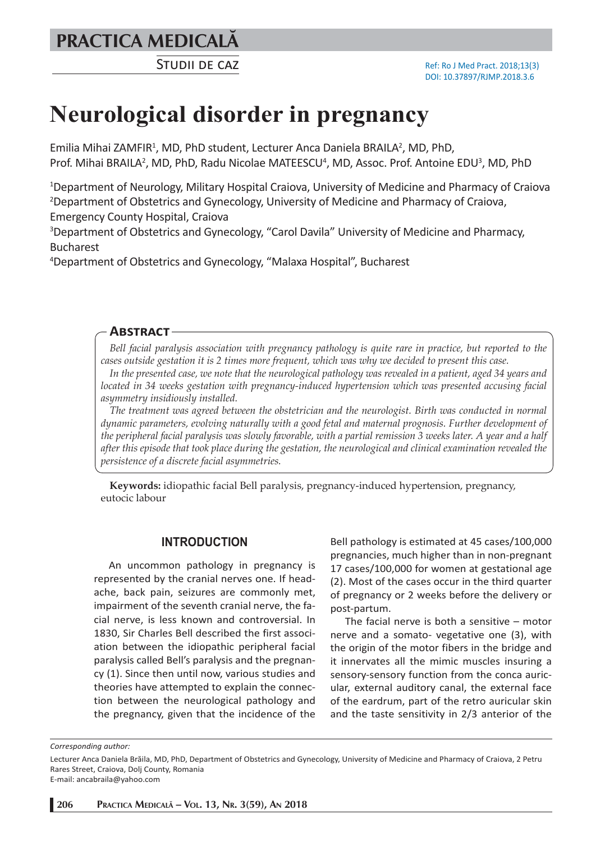## **PRACTICA MEDICALÅ**

STUDII DE CAZ

# **Neurological disorder in pregnancy**

Emilia Mihai ZAMFIR<sup>1</sup>, MD, PhD student, Lecturer Anca Daniela BRAILA<sup>2</sup>, MD, PhD, Prof. Mihai BRAILA<sup>2</sup>, MD, PhD, Radu Nicolae MATEESCU<sup>4</sup>, MD, Assoc. Prof. Antoine EDU<sup>3</sup>, MD, PhD

<sup>1</sup>Department of Neurology, Military Hospital Craiova, University of Medicine and Pharmacy of Craiova 2 Department of Obstetrics and Gynecology, University of Medicine and Pharmacy of Craiova, Emergency County Hospital, Craiova

<sup>3</sup>Department of Obstetrics and Gynecology, "Carol Davila" University of Medicine and Pharmacy, Bucharest

4 Department of Obstetrics and Gynecology, "Malaxa Hospital", Bucharest

#### **ABSTRACT**

*Bell facial paralysis association with pregnancy pathology is quite rare in practice, but reported to the cases outside gestation it is 2 times more frequent, which was why we decided to present this case.* 

*In the presented case, we note that the neurological pathology was revealed in a patient, aged 34 years and located in 34 weeks gestation with pregnancy-induced hypertension which was presented accusing facial asymmetry insidiously installed.*

*The treatment was agreed between the obstetrician and the neurologist. Birth was conducted in normal dynamic parameters, evolving naturally with a good fetal and maternal prognosis. Further development of the peripheral facial paralysis was slowly favorable, with a partial remission 3 weeks later. A year and a half after this episode that took place during the gestation, the neurological and clinical examination revealed the persistence of a discrete facial asymmetries.*

**Keywords:** idiopathic facial Bell paralysis, pregnancy-induced hypertension, pregnancy, eutocic labour

#### **INTRODUCTION**

An uncommon pathology in pregnancy is represented by the cranial nerves one. If headache, back pain, seizures are commonly met, impairment of the seventh cranial nerve, the facial nerve, is less known and controversial. In 1830, Sir Charles Bell described the first association between the idiopathic peripheral facial paralysis called Bell's paralysis and the pregnancy (1). Since then until now, various studies and theories have attempted to explain the connection between the neurological pathology and the pregnancy, given that the incidence of the

Bell pathology is estimated at 45 cases/100,000 pregnancies, much higher than in non-pregnant 17 cases/100,000 for women at gestational age (2). Most of the cases occur in the third quarter of pregnancy or 2 weeks before the delivery or post-partum.

The facial nerve is both a sensitive – motor nerve and a somato- vegetative one (3), with the origin of the motor fibers in the bridge and it innervates all the mimic muscles insuring a sensory-sensory function from the conca auricular, external auditory canal, the external face of the eardrum, part of the retro auricular skin and the taste sensitivity in 2/3 anterior of the

*Corresponding author:* 

E-mail: ancabraila@yahoo.com

Lecturer Anca Daniela Brăila, MD, PhD, Department of Obstetrics and Gynecology, University of Medicine and Pharmacy of Craiova, 2 Petru Rares Street, Craiova, Dolj County, Romania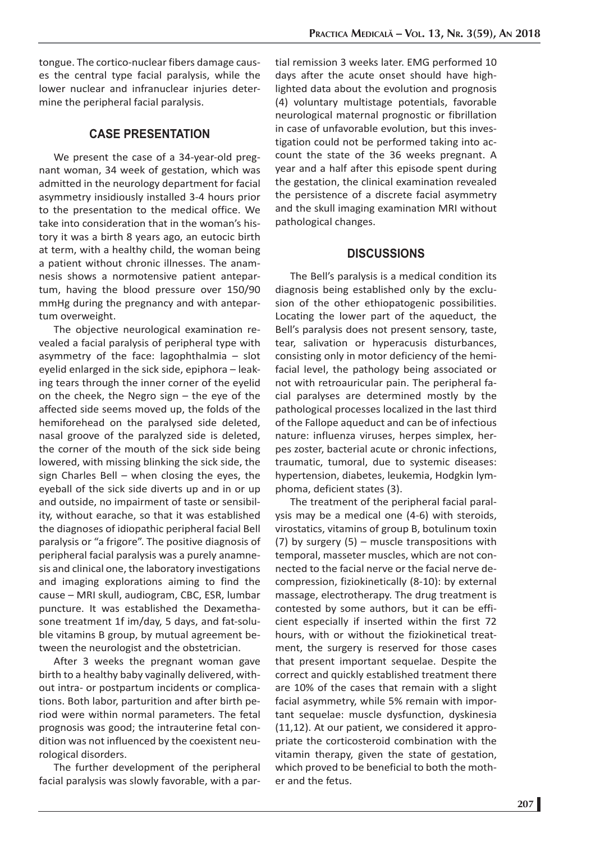tongue. The cortico-nuclear fibers damage causes the central type facial paralysis, while the lower nuclear and infranuclear injuries determine the peripheral facial paralysis.

#### **CASE PRESENTATION**

We present the case of a 34-year-old pregnant woman, 34 week of gestation, which was admitted in the neurology department for facial asymmetry insidiously installed 3-4 hours prior to the presentation to the medical office. We take into consideration that in the woman's history it was a birth 8 years ago, an eutocic birth at term, with a healthy child, the woman being a patient without chronic illnesses. The anamnesis shows a normotensive patient antepartum, having the blood pressure over 150/90 mmHg during the pregnancy and with antepartum overweight.

The objective neurological examination revealed a facial paralysis of peripheral type with asymmetry of the face: lagophthalmia – slot eyelid enlarged in the sick side, epiphora – leaking tears through the inner corner of the eyelid on the cheek, the Negro sign – the eye of the affected side seems moved up, the folds of the hemiforehead on the paralysed side deleted, nasal groove of the paralyzed side is deleted, the corner of the mouth of the sick side being lowered, with missing blinking the sick side, the sign Charles Bell – when closing the eyes, the eyeball of the sick side diverts up and in or up and outside, no impairment of taste or sensibility, without earache, so that it was established the diagnoses of idiopathic peripheral facial Bell paralysis or "a frigore". The positive diagnosis of peripheral facial paralysis was a purely anamnesis and clinical one, the laboratory investigations and imaging explorations aiming to find the cause – MRI skull, audiogram, CBC, ESR, lumbar puncture. It was established the Dexamethasone treatment 1f im/day, 5 days, and fat-soluble vitamins B group, by mutual agreement between the neurologist and the obstetrician.

After 3 weeks the pregnant woman gave birth to a healthy baby vaginally delivered, without intra- or postpartum incidents or complications. Both labor, parturition and after birth period were within normal parameters. The fetal prognosis was good; the intrauterine fetal condition was not influenced by the coexistent neurological disorders.

The further development of the peripheral facial paralysis was slowly favorable, with a partial remission 3 weeks later. EMG performed 10 days after the acute onset should have highlighted data about the evolution and prognosis (4) voluntary multistage potentials, favorable neurological maternal prognostic or fibrillation in case of unfavorable evolution, but this investigation could not be performed taking into account the state of the 36 weeks pregnant. A year and a half after this episode spent during the gestation, the clinical examination revealed the persistence of a discrete facial asymmetry and the skull imaging examination MRI without pathological changes.

#### **DISCUSSIONS**

The Bell's paralysis is a medical condition its diagnosis being established only by the exclusion of the other ethiopatogenic possibilities. Locating the lower part of the aqueduct, the Bell's paralysis does not present sensory, taste, tear, salivation or hyperacusis disturbances, consisting only in motor deficiency of the hemifacial level, the pathology being associated or not with retroauricular pain. The peripheral facial paralyses are determined mostly by the pathological processes localized in the last third of the Fallope aqueduct and can be of infectious nature: influenza viruses, herpes simplex, herpes zoster, bacterial acute or chronic infections, traumatic, tumoral, due to systemic diseases: hypertension, diabetes, leukemia, Hodgkin lymphoma, deficient states (3).

The treatment of the peripheral facial paralysis may be a medical one (4-6) with steroids, virostatics, vitamins of group B, botulinum toxin (7) by surgery (5) – muscle transpositions with temporal, masseter muscles, which are not connected to the facial nerve or the facial nerve decompression, fiziokinetically (8-10): by external massage, electrotherapy. The drug treatment is contested by some authors, but it can be efficient especially if inserted within the first 72 hours, with or without the fiziokinetical treatment, the surgery is reserved for those cases that present important sequelae. Despite the correct and quickly established treatment there are 10% of the cases that remain with a slight facial asymmetry, while 5% remain with important sequelae: muscle dysfunction, dyskinesia (11,12). At our patient, we considered it appropriate the corticosteroid combination with the vitamin therapy, given the state of gestation, which proved to be beneficial to both the mother and the fetus.